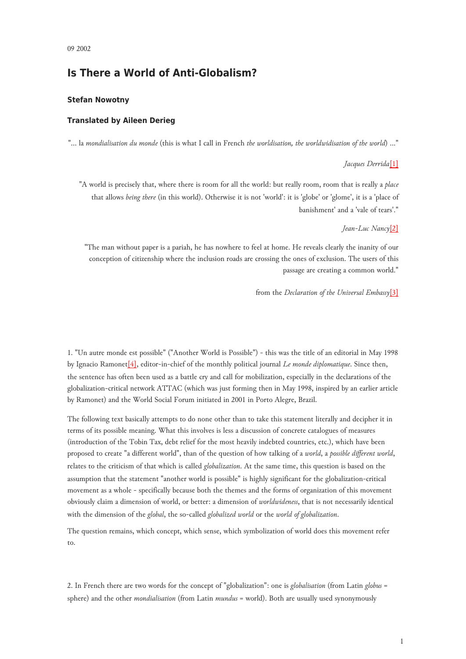# **Is There a World of Anti-Globalism?**

## **Stefan Nowotny**

## **Translated by Aileen Derieg**

"... la *mondialisation du monde* (this is what I call in French *the worldisation, the worldwidisation of the world*) ..."

#### <span id="page-0-0"></span>*Jacques Derrida*[\[1\]](#page-7-0)

"A world is precisely that, where there is room for all the world: but really room, room that is really a *place* that allows *being there* (in this world). Otherwise it is not 'world': it is 'globe' or 'glome', it is a 'place of banishment' and a 'vale of tears'."

### <span id="page-0-1"></span>*Jean-Luc Nancy*[\[2\]](#page-7-1)

"The man without paper is a pariah, he has nowhere to feel at home. He reveals clearly the inanity of our conception of citizenship where the inclusion roads are crossing the ones of exclusion. The users of this passage are creating a common world."

<span id="page-0-2"></span>from the *Declaration of the Universal Embassy*[\[3\]](#page-7-2)

<span id="page-0-3"></span>1. "Un autre monde est possible" ("Another World is Possible") - this was the title of an editorial in May 1998 by Ignacio Ramonet[\[4\],](#page-7-3) editor-in-chief of the monthly political journal *Le monde diplomatique*. Since then, the sentence has often been used as a battle cry and call for mobilization, especially in the declarations of the globalization-critical network ATTAC (which was just forming then in May 1998, inspired by an earlier article by Ramonet) and the World Social Forum initiated in 2001 in Porto Alegre, Brazil.

The following text basically attempts to do none other than to take this statement literally and decipher it in terms of its possible meaning. What this involves is less a discussion of concrete catalogues of measures (introduction of the Tobin Tax, debt relief for the most heavily indebted countries, etc.), which have been proposed to create "a different world", than of the question of how talking of a *world*, a *possible different world*, relates to the criticism of that which is called *globalization*. At the same time, this question is based on the assumption that the statement "another world is possible" is highly significant for the globalization-critical movement as a whole - specifically because both the themes and the forms of organization of this movement obviously claim a dimension of world, or better: a dimension of *worldwideness*, that is not necessarily identical with the dimension of the *global*, the so-called *globalized world* or the *world of globalization*.

The question remains, which concept, which sense, which symbolization of world does this movement refer to.

2. In French there are two words for the concept of "globalization": one is *globalisation* (from Latin *globus* = sphere) and the other *mondialisation* (from Latin *mundus* = world). Both are usually used synonymously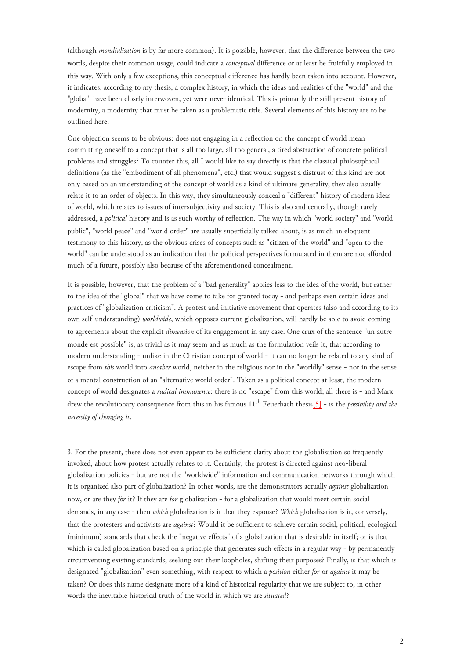(although *mondialisation* is by far more common). It is possible, however, that the difference between the two words, despite their common usage, could indicate a *conceptual* difference or at least be fruitfully employed in this way. With only a few exceptions, this conceptual difference has hardly been taken into account. However, it indicates, according to my thesis, a complex history, in which the ideas and realities of the "world" and the "global" have been closely interwoven, yet were never identical. This is primarily the still present history of modernity, a modernity that must be taken as a problematic title. Several elements of this history are to be outlined here.

One objection seems to be obvious: does not engaging in a reflection on the concept of world mean committing oneself to a concept that is all too large, all too general, a tired abstraction of concrete political problems and struggles? To counter this, all I would like to say directly is that the classical philosophical definitions (as the "embodiment of all phenomena", etc.) that would suggest a distrust of this kind are not only based on an understanding of the concept of world as a kind of ultimate generality, they also usually relate it to an order of objects. In this way, they simultaneously conceal a "different" history of modern ideas of world, which relates to issues of intersubjectivity and society. This is also and centrally, though rarely addressed, a *political* history and is as such worthy of reflection. The way in which "world society" and "world public", "world peace" and "world order" are usually superficially talked about, is as much an eloquent testimony to this history, as the obvious crises of concepts such as "citizen of the world" and "open to the world" can be understood as an indication that the political perspectives formulated in them are not afforded much of a future, possibly also because of the aforementioned concealment.

<span id="page-1-0"></span>It is possible, however, that the problem of a "bad generality" applies less to the idea of the world, but rather to the idea of the "global" that we have come to take for granted today - and perhaps even certain ideas and practices of "globalization criticism". A protest and initiative movement that operates (also and according to its own self-understanding) *worldwide*, which opposes current globalization, will hardly be able to avoid coming to agreements about the explicit *dimension* of its engagement in any case. One crux of the sentence "un autre monde est possible" is, as trivial as it may seem and as much as the formulation veils it, that according to modern understanding - unlike in the Christian concept of world - it can no longer be related to any kind of escape from *this* world into *another* world, neither in the religious nor in the "worldly" sense - nor in the sense of a mental construction of an "alternative world order". Taken as a political concept at least, the modern concept of world designates a *radical immanence*: there is no "escape" from this world; all there is - and Marx drew the revolutionary consequence from this in his famous 11th Feuerbach thesis[\[5\]](#page-8-0) - is the *possibility and the necessity of changing it*.

3. For the present, there does not even appear to be sufficient clarity about the globalization so frequently invoked, about how protest actually relates to it. Certainly, the protest is directed against neo-liberal globalization policies - but are not the "worldwide" information and communication networks through which it is organized also part of globalization? In other words, are the demonstrators actually *against* globalization now, or are they *for* it? If they are *for* globalization - for a globalization that would meet certain social demands, in any case - then *which* globalization is it that they espouse? *Which* globalization is it, conversely, that the protesters and activists are *against*? Would it be sufficient to achieve certain social, political, ecological (minimum) standards that check the "negative effects" of a globalization that is desirable in itself; or is that which is called globalization based on a principle that generates such effects in a regular way - by permanently circumventing existing standards, seeking out their loopholes, shifting their purposes? Finally, is that which is designated "globalization" even something, with respect to which a *position* either *for* or *against* it may be taken? Or does this name designate more of a kind of historical regularity that we are subject to, in other words the inevitable historical truth of the world in which we are *situated*?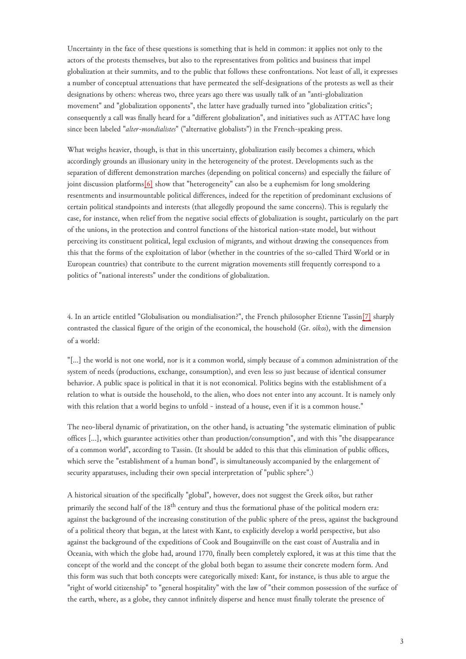Uncertainty in the face of these questions is something that is held in common: it applies not only to the actors of the protests themselves, but also to the representatives from politics and business that impel globalization at their summits, and to the public that follows these confrontations. Not least of all, it expresses a number of conceptual attenuations that have permeated the self-designations of the protests as well as their designations by others: whereas two, three years ago there was usually talk of an "anti-globalization movement" and "globalization opponents", the latter have gradually turned into "globalization critics"; consequently a call was finally heard for a "different globalization", and initiatives such as ATTAC have long since been labeled "*alter-mondialistes*" ("alternative globalists") in the French-speaking press.

<span id="page-2-0"></span>What weighs heavier, though, is that in this uncertainty, globalization easily becomes a chimera, which accordingly grounds an illusionary unity in the heterogeneity of the protest. Developments such as the separation of different demonstration marches (depending on political concerns) and especially the failure of joint discussion platforms<sup>[6]</sup> show that "heterogeneity" can also be a euphemism for long smoldering resentments and insurmountable political differences, indeed for the repetition of predominant exclusions of certain political standpoints and interests (that allegedly propound the same concerns). This is regularly the case, for instance, when relief from the negative social effects of globalization is sought, particularly on the part of the unions, in the protection and control functions of the historical nation-state model, but without perceiving its constituent political, legal exclusion of migrants, and without drawing the consequences from this that the forms of the exploitation of labor (whether in the countries of the so-called Third World or in European countries) that contribute to the current migration movements still frequently correspond to a politics of "national interests" under the conditions of globalization.

<span id="page-2-1"></span>4. In an article entitled "Globalisation ou mondialisation?", the French philosopher Etienne Tassin[\[7\]](#page-8-2) sharply contrasted the classical figure of the origin of the economical, the household (Gr. *oîkos*), with the dimension of a world:

"[...] the world is not one world, nor is it a common world, simply because of a common administration of the system of needs (productions, exchange, consumption), and even less so just because of identical consumer behavior. A public space is political in that it is not economical. Politics begins with the establishment of a relation to what is outside the household, to the alien, who does not enter into any account. It is namely only with this relation that a world begins to unfold - instead of a house, even if it is a common house."

The neo-liberal dynamic of privatization, on the other hand, is actuating "the systematic elimination of public offices [...], which guarantee activities other than production/consumption", and with this "the disappearance of a common world", according to Tassin. (It should be added to this that this elimination of public offices, which serve the "establishment of a human bond", is simultaneously accompanied by the enlargement of security apparatuses, including their own special interpretation of "public sphere".)

<span id="page-2-2"></span>A historical situation of the specifically "global", however, does not suggest the Greek *oîkos*, but rather primarily the second half of the 18<sup>th</sup> century and thus the formational phase of the political modern era: against the background of the increasing constitution of the public sphere of the press, against the background of a political theory that began, at the latest with Kant, to explicitly develop a world perspective, but also against the background of the expeditions of Cook and Bougainville on the east coast of Australia and in Oceania, with which the globe had, around 1770, finally been completely explored, it was at this time that the concept of the world and the concept of the global both began to assume their concrete modern form. And this form was such that both concepts were categorically mixed: Kant, for instance, is thus able to argue the "right of world citizenship" to "general hospitality" with the law of "their common possession of the surface of the earth, where, as a globe, they cannot infinitely disperse and hence must finally tolerate the presence of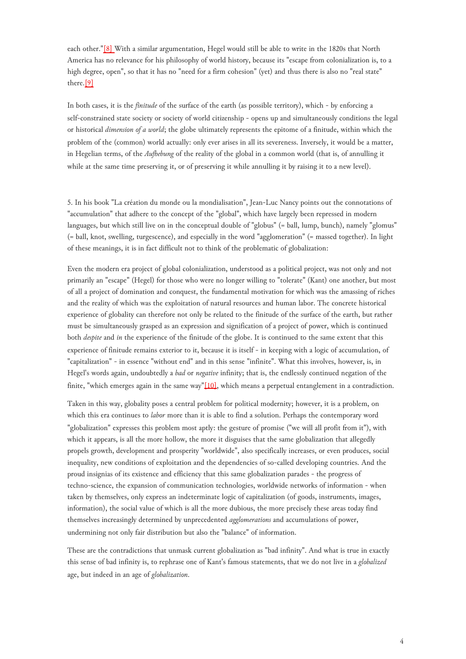each other.["\[8\]](#page-8-3) With a similar argumentation, Hegel would still be able to write in the 1820s that North America has no relevance for his philosophy of world history, because its "escape from colonialization is, to a high degree, open", so that it has no "need for a firm cohesion" (yet) and thus there is also no "real state" there[.\[9\]](#page-8-4)

In both cases, it is the *finitude* of the surface of the earth (as possible territory), which - by enforcing a self-constrained state society or society of world citizenship - opens up and simultaneously conditions the legal or historical *dimension of a world*; the globe ultimately represents the epitome of a finitude, within which the problem of the (common) world actually: only ever arises in all its severeness. Inversely, it would be a matter, in Hegelian terms, of the *Aufhebung* of the reality of the global in a common world (that is, of annulling it while at the same time preserving it, or of preserving it while annulling it by raising it to a new level).

5. In his book "La création du monde ou la mondialisation", Jean-Luc Nancy points out the connotations of "accumulation" that adhere to the concept of the "global", which have largely been repressed in modern languages, but which still live on in the conceptual double of "globus" (= ball, lump, bunch), namely "glomus" (= ball, knot, swelling, turgescence), and especially in the word "agglomeration" (= massed together). In light of these meanings, it is in fact difficult not to think of the problematic of globalization:

<span id="page-3-0"></span>Even the modern era project of global colonialization, understood as a political project, was not only and not primarily an "escape" (Hegel) for those who were no longer willing to "tolerate" (Kant) one another, but most of all a project of domination and conquest, the fundamental motivation for which was the amassing of riches and the reality of which was the exploitation of natural resources and human labor. The concrete historical experience of globality can therefore not only be related to the finitude of the surface of the earth, but rather must be simultaneously grasped as an expression and signification of a project of power, which is continued both *despite* and *in* the experience of the finitude of the globe. It is continued to the same extent that this experience of finitude remains exterior to it, because it is itself - in keeping with a logic of accumulation, of "capitalization" - in essence "without end" and in this sense "infinite". What this involves, however, is, in Hegel's words again, undoubtedly a *bad* or *negative* infinity; that is, the endlessly continued negation of the finite, "which emerges again in the same way"[\[10\],](#page-8-5) which means a perpetual entanglement in a contradiction.

Taken in this way, globality poses a central problem for political modernity; however, it is a problem, on which this era continues to *labor* more than it is able to find a solution. Perhaps the contemporary word "globalization" expresses this problem most aptly: the gesture of promise ("we will all profit from it"), with which it appears, is all the more hollow, the more it disguises that the same globalization that allegedly propels growth, development and prosperity "worldwide", also specifically increases, or even produces, social inequality, new conditions of exploitation and the dependencies of so-called developing countries. And the proud insignias of its existence and efficiency that this same globalization parades - the progress of techno-science, the expansion of communication technologies, worldwide networks of information - when taken by themselves, only express an indeterminate logic of capitalization (of goods, instruments, images, information), the social value of which is all the more dubious, the more precisely these areas today find themselves increasingly determined by unprecedented *agglomerations* and accumulations of power, undermining not only fair distribution but also the "balance" of information.

These are the contradictions that unmask current globalization as "bad infinity". And what is true in exactly this sense of bad infinity is, to rephrase one of Kant's famous statements, that we do not live in a *globalized* age, but indeed in an age of *globalization*.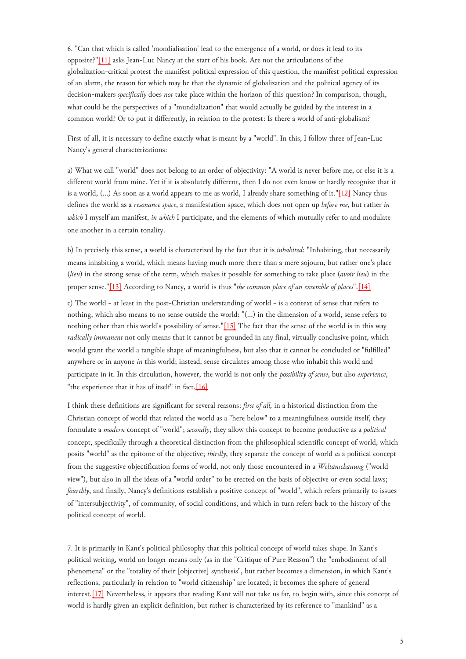<span id="page-4-0"></span>6. "Can that which is called 'mondialisation' lead to the emergence of a world, or does it lead to its opposite?["\[11\]](#page-8-6) asks Jean-Luc Nancy at the start of his book. Are not the articulations of the globalization-critical protest the manifest political expression of this question, the manifest political expression of an alarm, the reason for which may be that the dynamic of globalization and the political agency of its decision-makers *specifically* does *not* take place within the horizon of this question? In comparison, though, what could be the perspectives of a "mundialization" that would actually be guided by the interest in a common world? Or to put it differently, in relation to the protest: Is there a world of anti-globalism?

First of all, it is necessary to define exactly what is meant by a "world". In this, I follow three of Jean-Luc Nancy's general characterizations:

<span id="page-4-1"></span>a) What we call "world" does not belong to an order of objectivity: "A world is never before me, or else it is a different world from mine. Yet if it is absolutely different, then I do not even know or hardly recognize that it is a world, (...) As soon as a world appears to me as world, I already share something of it."[\[12\]](#page-8-7) Nancy thus defines the world as a *resonance space*, a manifestation space, which does not open up *before me*, but rather *in which* I myself am manifest, *in which* I participate, and the elements of which mutually refer to and modulate one another in a certain tonality.

<span id="page-4-2"></span>b) In precisely this sense, a world is characterized by the fact that it is *inhabited*: "Inhabiting, that necessarily means inhabiting a world, which means having much more there than a mere sojourn, but rather one's place (*lieu*) in the strong sense of the term, which makes it possible for something to take place (*avoir lieu*) in the proper sense.["\[13\]](#page-8-8) According to Nancy, a world is thus "*the common place of an ensemble of places*".[\[14\]](#page-8-9)

<span id="page-4-3"></span>c) The world - at least in the post-Christian understanding of world - is a context of sense that refers to nothing, which also means to no sense outside the world: "(...) in the dimension of a world, sense refers to nothing other than this world's possibility of sense."[\[15\]](#page-8-10) The fact that the sense of the world is in this way *radically immanent* not only means that it cannot be grounded in any final, virtually conclusive point, which would grant the world a tangible shape of meaningfulness, but also that it cannot be concluded or "fulfilled" anywhere or in anyone *in* this world; instead, sense circulates among those who inhabit this world and participate in it. In this circulation, however, the world is not only the *possibility of sense*, but also *experience*, "the experience that it has of itself" in fact.[\[16\]](#page-8-11)

I think these definitions are significant for several reasons: *first of all,* in a historical distinction from the Christian concept of world that related the world as a "here below" to a meaningfulness outside itself, they formulate a *modern* concept of "world"; *secondly*, they allow this concept to become productive as a *political* concept, specifically through a theoretical distinction from the philosophical scientific concept of world, which posits "world" as the epitome of the objective; *thirdly*, they separate the concept of world *as* a political concept from the suggestive objectification forms of world, not only those encountered in a *Weltanschauung* ("world view"), but also in all the ideas of a "world order" to be erected on the basis of objective or even social laws; *fourthly*, and finally, Nancy's definitions establish a positive concept of "world", which refers primarily to issues of "intersubjectivity", of community, of social conditions, and which in turn refers back to the history of the political concept of world.

<span id="page-4-4"></span>7. It is primarily in Kant's political philosophy that this political concept of world takes shape. In Kant's political writing, world no longer means only (as in the "Critique of Pure Reason") the "embodiment of all phenomena" or the "totality of their [objective] synthesis", but rather becomes a dimension, in which Kant's reflections, particularly in relation to "world citizenship" are located; it becomes the sphere of general interest[.\[17\]](#page-8-12) Nevertheless, it appears that reading Kant will not take us far, to begin with, since this concept of world is hardly given an explicit definition, but rather is characterized by its reference to "mankind" as a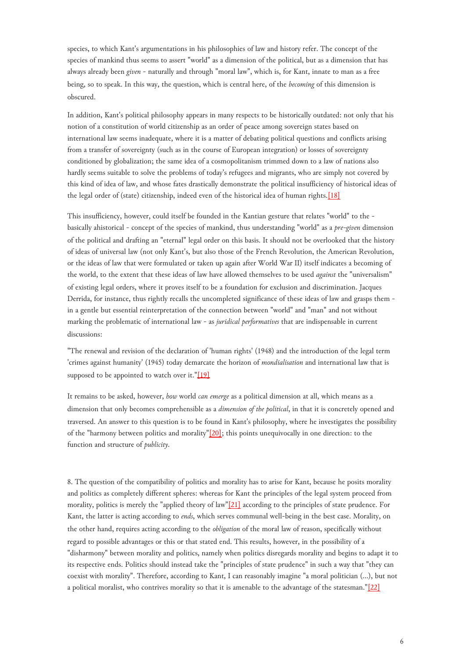species, to which Kant's argumentations in his philosophies of law and history refer. The concept of the species of mankind thus seems to assert "world" as a dimension of the political, but as a dimension that has always already been *given* - naturally and through "moral law", which is, for Kant, innate to man as a free being, so to speak. In this way, the question, which is central here, of the *becoming* of this dimension is obscured.

<span id="page-5-0"></span>In addition, Kant's political philosophy appears in many respects to be historically outdated: not only that his notion of a constitution of world citizenship as an order of peace among sovereign states based on international law seems inadequate, where it is a matter of debating political questions and conflicts arising from a transfer of sovereignty (such as in the course of European integration) or losses of sovereignty conditioned by globalization; the same idea of a cosmopolitanism trimmed down to a law of nations also hardly seems suitable to solve the problems of today's refugees and migrants, who are simply not covered by this kind of idea of law, and whose fates drastically demonstrate the political insufficiency of historical ideas of the legal order of (state) citizenship, indeed even of the historical idea of human rights.[\[18\]](#page-8-13)

This insufficiency, however, could itself be founded in the Kantian gesture that relates "world" to the basically ahistorical - concept of the species of mankind, thus understanding "world" as a *pre-given* dimension of the political and drafting an "eternal" legal order on this basis. It should not be overlooked that the history of ideas of universal law (not only Kant's, but also those of the French Revolution, the American Revolution, or the ideas of law that were formulated or taken up again after World War II) itself indicates a becoming of the world, to the extent that these ideas of law have allowed themselves to be used *against* the "universalism" of existing legal orders, where it proves itself to be a foundation for exclusion and discrimination. Jacques Derrida, for instance, thus rightly recalls the uncompleted significance of these ideas of law and grasps them in a gentle but essential reinterpretation of the connection between "world" and "man" and not without marking the problematic of international law - as *juridical performatives* that are indispensable in current discussions:

<span id="page-5-1"></span>"The renewal and revision of the declaration of 'human rights' (1948) and the introduction of the legal term 'crimes against humanity' (1945) today demarcate the horizon of *mondialisation* and international law that is supposed to be appointed to watch over it."[\[19\]](#page-8-14)

<span id="page-5-2"></span>It remains to be asked, however, *how* world *can emerge* as a political dimension at all, which means as a dimension that only becomes comprehensible as a *dimension of the political*, in that it is concretely opened and traversed. An answer to this question is to be found in Kant's philosophy, where he investigates the possibility of the "harmony between politics and morality"[\[20\];](#page-8-15) this points unequivocally in one direction: to the function and structure of *publicity*.

<span id="page-5-3"></span>8. The question of the compatibility of politics and morality has to arise for Kant, because he posits morality and politics as completely different spheres: whereas for Kant the principles of the legal system proceed from morality, politics is merely the "applied theory of law"[\[21\]](#page-8-16) according to the principles of state prudence. For Kant, the latter is acting according to *ends*, which serves communal well-being in the best case. Morality, on the other hand, requires acting according to the *obligation* of the moral law of reason, specifically without regard to possible advantages or this or that stated end. This results, however, in the possibility of a "disharmony" between morality and politics, namely when politics disregards morality and begins to adapt it to its respective ends. Politics should instead take the "principles of state prudence" in such a way that "they can coexist with morality". Therefore, according to Kant, I can reasonably imagine "a moral politician (...), but not a political moralist, who contrives morality so that it is amenable to the advantage of the statesman."[\[22\]](#page-8-17)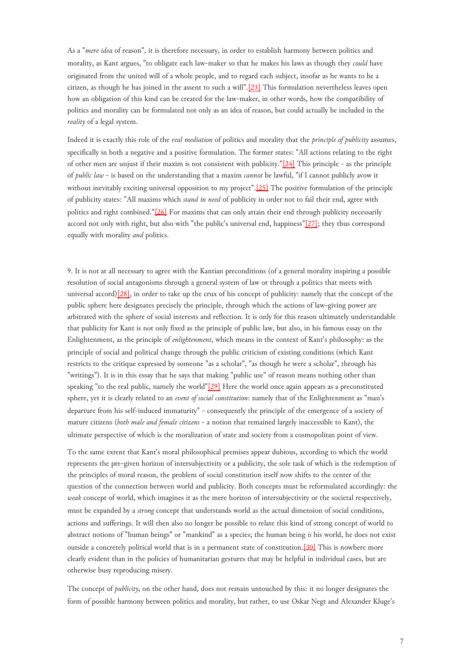<span id="page-6-0"></span>As a "*mere idea* of reason", it is therefore necessary, in order to establish harmony between politics and morality, as Kant argues, "to obligate each law-maker so that he makes his laws as though they *could* have originated from the united will of a whole people, and to regard each subject, insofar as he wants to be a citizen, as though he has joined in the assent to such a will".[\[23\]](#page-9-0) This formulation nevertheless leaves open how an obligation of this kind can be created for the law-maker, in other words, how the compatibility of politics and morality can be formulated not only as an idea of reason, but could actually be included in the *reality* of a legal system.

<span id="page-6-1"></span>Indeed it is exactly this role of the *real mediation* of politics and morality that the *principle of publicity* assumes, specifically in both a negative and a positive formulation. The former states: "All actions relating to the right of other men are unjust if their maxim is not consistent with publicity."[\[24\]](#page-9-1) This principle - as the principle of *public law* - is based on the understanding that a maxim *cannot* be lawful, "if I cannot publicly avow it without inevitably exciting universal opposition to my project".<sup>[25]</sup> The positive formulation of the principle of publicity states: "All maxims which *stand in need* of publicity in order not to fail their end, agree with politics and right combined.["\[26\]](#page-9-3) For maxims that can only attain their end through publicity necessarily accord not only with right, but also with "the public's universal end, happiness"[\[27\];](#page-9-4) they thus correspond equally with morality *and* politics.

<span id="page-6-2"></span>9. It is not at all necessary to agree with the Kantian preconditions (of a general morality inspiring a possible resolution of social antagonisms through a general system of law or through a politics that meets with universal accord)[\[28\],](#page-9-5) in order to take up the crux of his concept of publicity: namely that the concept of the public sphere here designates precisely the principle, through which the actions of law-giving power are arbitrated with the sphere of social interests and reflection. It is only for this reason ultimately understandable that publicity for Kant is not only fixed as the principle of public law, but also, in his famous essay on the Enlightenment, as the principle of *enlightenment*, which means in the context of Kant's philosophy: as the principle of social and political change through the public criticism of existing conditions (which Kant restricts to the critique expressed by someone "as a scholar", "as though he were a scholar", through his "writings"). It is in this essay that he says that making "public use" of reason means nothing other than speaking "to the real public, namely the world"[\[29\]](#page-9-6) Here the world once again appears as a preconstituted sphere, yet it is clearly related to an *event of social constitution*: namely that of the Enlightenment as "man's departure from his self-induced immaturity" - consequently the principle of the emergence of a society of mature citizens (*both male and female citizens* - a notion that remained largely inaccessible to Kant), the ultimate perspective of which is the moralization of state and society from a cosmopolitan point of view.

<span id="page-6-3"></span>To the same extent that Kant's moral philosophical premises appear dubious, according to which the world represents the pre-given horizon of intersubjectivity or a publicity, the sole task of which is the redemption of the principles of moral reason, the problem of social constitution itself now shifts to the center of the question of the connection between world and publicity. Both concepts must be reformulated accordingly: the *weak* concept of world, which imagines it as the mere horizon of intersubjectivity or the societal respectively, must be expanded by a *strong* concept that understands world as the actual dimension of social conditions, actions and sufferings. It will then also no longer be possible to relate this kind of strong concept of world to abstract notions of "human beings" or "mankind" as a species; the human being *is* his world, he does not exist outside a concretely political world that is in a permanent state of constitution. [\[30\]](#page-9-7) This is nowhere more clearly evident than in the policies of humanitarian gestures that may be helpful in individual cases, but are otherwise busy reproducing misery.

<span id="page-6-4"></span>The concept of *publicity*, on the other hand, does not remain untouched by this: it no longer designates the form of possible harmony between politics and morality, but rather, to use Oskar Negt and Alexander Kluge's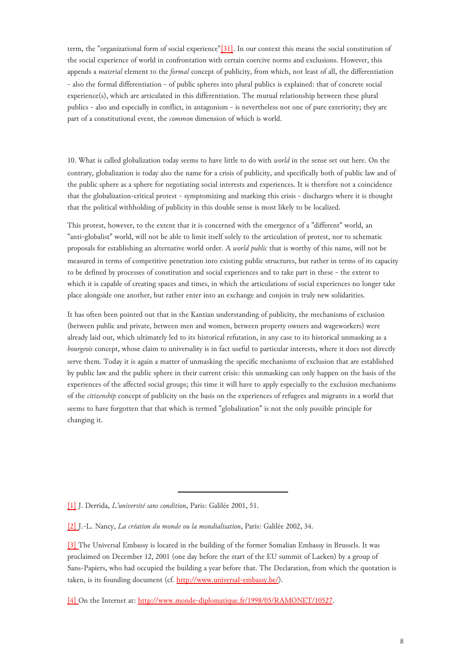term, the "organizational form of social experience"[\[31\].](#page-9-8) In our context this means the social constitution of the social experience of world in confrontation with certain coercive norms and exclusions. However, this appends a *material* element to the *formal* concept of publicity, from which, not least of all, the differentiation - also the formal differentiation - of public spheres into plural publics is explained: that of concrete social experience(s), which are articulated in this differentiation. The mutual relationship between these plural publics - also and especially in conflict, in antagonism - is nevertheless not one of pure exteriority; they are part of a constitutional event, the *common* dimension of which is world.

10. What is called globalization today seems to have little to do with *world* in the sense set out here. On the contrary, globalization is today also the name for a crisis of publicity, and specifically both of public law and of the public sphere as a sphere for negotiating social interests and experiences. It is therefore not a coincidence that the globalization-critical protest - symptomizing and marking this crisis - discharges where it is thought that the political withholding of publicity in this double sense is most likely to be localized.

This protest, however, to the extent that it is concerned with the emergence of a "different" world, an "anti-globalist" world, will not be able to limit itself solely to the articulation of protest, nor to schematic proposals for establishing an alternative world order. A *world public* that is worthy of this name, will not be measured in terms of competitive penetration into existing public structures, but rather in terms of its capacity to be defined by processes of constitution and social experiences and to take part in these - the extent to which it is capable of creating spaces and times, in which the articulations of social experiences no longer take place alongside one another, but rather enter into an exchange and conjoin in truly new solidarities.

It has often been pointed out that in the Kantian understanding of publicity, the mechanisms of exclusion (between public and private, between men and women, between property owners and wageworkers) were already laid out, which ultimately led to its historical refutation, in any case to its historical unmasking as a *bourgeois* concept, whose claim to universality is in fact useful to particular interests, where it does not directly serve them. Today it is again a matter of unmasking the specific mechanisms of exclusion that are established by public law and the public sphere in their current crisis: this unmasking can only happen on the basis of the experiences of the affected social groups; this time it will have to apply especially to the exclusion mechanisms of the *citizenship* concept of publicity on the basis on the experiences of refugees and migrants in a world that seems to have forgotten that that which is termed "globalization" is not the only possible principle for changing it.

<span id="page-7-0"></span>[\[1\]](#page-0-0) J. Derrida, *L'université sans condition*, Paris: Galilée 2001, 51.

<span id="page-7-1"></span>[<sup>\[2\]</sup>](#page-0-1) J.-L. Nancy, *La création du monde ou la mondialisation*, Paris: Galilée 2002, 34.

<span id="page-7-2"></span>[<sup>\[3\]</sup>](#page-0-2) The Universal Embassy is located in the building of the former Somalian Embassy in Brussels. It was proclaimed on December 12, 2001 (one day before the start of the EU summit of Laeken) by a group of Sans-Papiers, who had occupied the building a year before that. The Declaration, from which the quotation is taken, is its founding document (cf. [http://www.universal-embassy.be/\)](http://www.universal-embassy.be/).

<span id="page-7-3"></span>[<sup>\[4\]</sup>](#page-0-3) On the Internet at: [http://www.monde-diplomatique.fr/1998/05/RAMONET/10527.](http://www.monde-diplomatique.fr/1998/05/RAMONET/10527)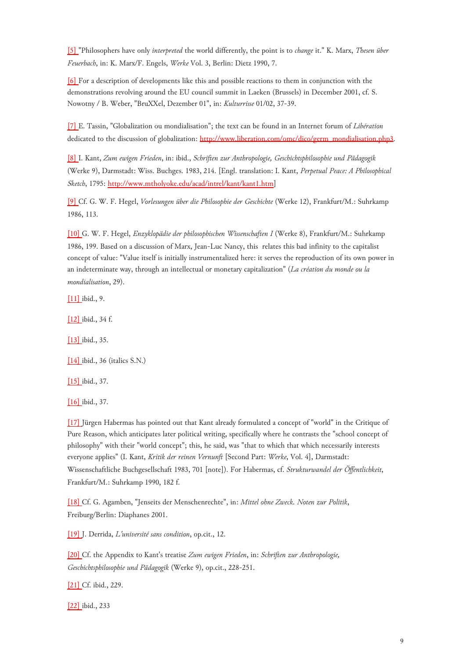<span id="page-8-0"></span>[\[5\]](#page-1-0) "Philosophers have only *interpreted* the world differently, the point is to *change* it." K. Marx, *Thesen über Feuerbach*, in: K. Marx/F. Engels, *Werke* Vol. 3, Berlin: Dietz 1990, 7.

<span id="page-8-1"></span>[\[6\]](#page-2-0) For a description of developments like this and possible reactions to them in conjunction with the demonstrations revolving around the EU council summit in Laeken (Brussels) in December 2001, cf. S. Nowotny / B. Weber, "BruXXel, Dezember 01", in: *Kulturrisse* 01/02, 37-39.

<span id="page-8-2"></span>[\[7\]](#page-2-1) E. Tassin, "Globalization ou mondialisation"; the text can be found in an Internet forum of *Libération* dedicated to the discussion of globalization: [http://www.liberation.com/omc/dico/germ\\_mondialisation.php3.](http://www.liberation.com/omc/dico/germ_mondialisation.php3)

<span id="page-8-3"></span>[\[8\]](#page-2-2) I. Kant, *Zum ewigen Frieden*, in: ibid., *Schriften zur Anthropologie, Geschichtsphilosophie und Pädagogik* (Werke 9), Darmstadt: Wiss. Buchges. 1983, 214. [Engl. translation: I. Kant, *Perpetual Peace: A Philosophical Sketch*, 1795: [http://www.mtholyoke.edu/acad/intrel/kant/kant1.htm\]](http://www.mtholyoke.edu/acad/intrel/kant/kant1.htm)

<span id="page-8-4"></span>[\[9\]](#page-2-2) Cf. G. W. F. Hegel, *Vorlesungen über die Philosophie der Geschichte* (Werke 12), Frankfurt/M.: Suhrkamp 1986, 113.

<span id="page-8-5"></span>[\[10\] G](#page-3-0). W. F. Hegel, *Enzyklopädie der philosophischen Wissenschaften I* (Werke 8), Frankfurt/M.: Suhrkamp 1986, 199. Based on a discussion of Marx, Jean-Luc Nancy, this relates this bad infinity to the capitalist concept of value: "Value itself is initially instrumentalized here: it serves the reproduction of its own power in an indeterminate way, through an intellectual or monetary capitalization" (*La création du monde ou la mondialisation*, 29).

<span id="page-8-6"></span>[\[11\] i](#page-4-0)bid., 9.

<span id="page-8-7"></span>[\[12\] i](#page-4-1)bid., 34 f.

<span id="page-8-8"></span>[\[13\] i](#page-4-2)bid., 35.

<span id="page-8-9"></span>[\[14\] i](#page-4-2)bid., 36 (italics S.N.)

<span id="page-8-10"></span>[\[15\] i](#page-4-3)bid., 37.

<span id="page-8-11"></span>[\[16\] i](#page-4-3)bid., 37.

<span id="page-8-12"></span>[\[17\] J](#page-4-4)ürgen Habermas has pointed out that Kant already formulated a concept of "world" in the Critique of Pure Reason, which anticipates later political writing, specifically where he contrasts the "school concept of philosophy" with their "world concept"; this, he said, was "that to which that which necessarily interests everyone applies" (I. Kant, *Kritik der reinen Vernunft* [Second Part: *Werke*, Vol. 4], Darmstadt: Wissenschaftliche Buchgesellschaft 1983, 701 [note]). For Habermas, cf. *Strukturwandel der Öffentlichkeit*, Frankfurt/M.: Suhrkamp 1990, 182 f.

<span id="page-8-13"></span>[\[18\] C](#page-5-0)f. G. Agamben, "Jenseits der Menschenrechte", in: *Mittel ohne Zweck. Noten zur Politik*, Freiburg/Berlin: Diaphanes 2001.

<span id="page-8-14"></span>[\[19\] J](#page-5-1). Derrida, *L'université sans condition*, op.cit., 12.

<span id="page-8-15"></span>[\[20\] C](#page-5-2)f. the Appendix to Kant's treatise *Zum ewigen Frieden*, in: *Schriften zur Anthropologie, Geschichtsphilosophie und Pädagogik* (Werke 9), op.cit., 228-251.

<span id="page-8-16"></span>[\[21\] C](#page-5-3)f. ibid., 229.

<span id="page-8-17"></span>[\[22\] i](#page-5-3)bid., 233